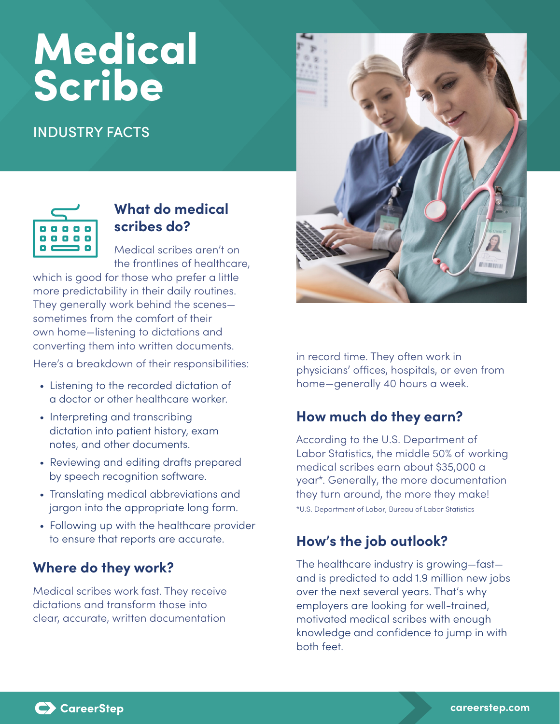# **Medical** Scribe

# INDUSTRY FACTS



# **What do medical scribes do?**

Medical scribes aren't on the frontlines of healthcare,

which is good for those who prefer a little more predictability in their daily routines. They generally work behind the scenes sometimes from the comfort of their own home—listening to dictations and converting them into written documents.

Here's a breakdown of their responsibilities:

- Listening to the recorded dictation of a doctor or other healthcare worker.
- Interpreting and transcribing dictation into patient history, exam notes, and other documents.
- Reviewing and editing drafts prepared by speech recognition software.
- Translating medical abbreviations and jargon into the appropriate long form.
- Following up with the healthcare provider to ensure that reports are accurate.

## **Where do they work?**

Medical scribes work fast. They receive dictations and transform those into clear, accurate, written documentation



in record time. They often work in physicians' offices, hospitals, or even from home—generally 40 hours a week.

## **How much do they earn?**

According to the U.S. Department of Labor Statistics, the middle 50% of working medical scribes earn about \$35,000 a year\*. Generally, the more documentation they turn around, the more they make!

\*U.S. Department of Labor, Bureau of Labor Statistics

# **How's the job outlook?**

The healthcare industry is growing—fast and is predicted to add 1.9 million new jobs over the next several years. That's why employers are looking for well-trained, motivated medical scribes with enough knowledge and confidence to jump in with both feet.